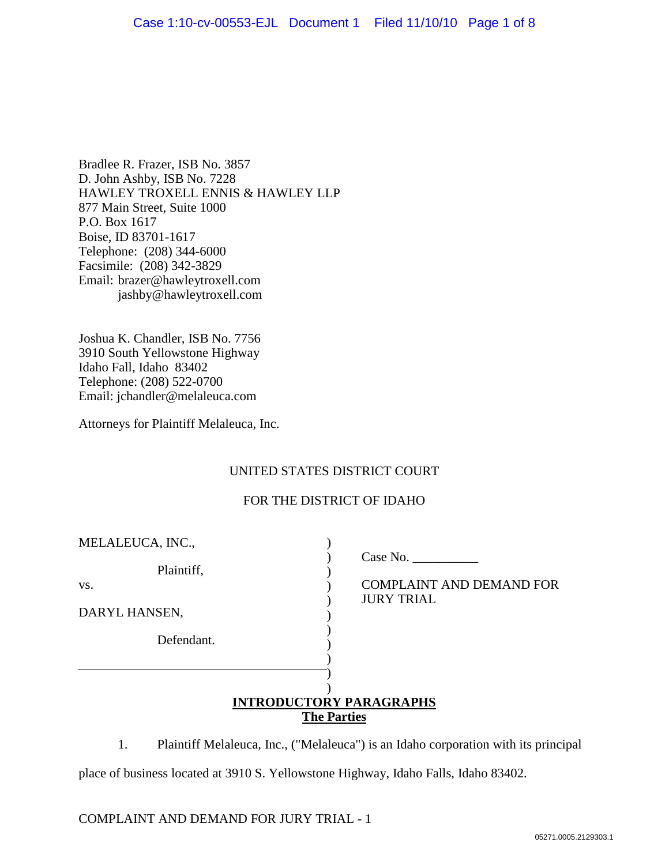Bradlee R. Frazer, ISB No. 3857 D. John Ashby, ISB No. 7228 HAWLEY TROXELL ENNIS & HAWLEY LLP 877 Main Street, Suite 1000 P.O. Box 1617 Boise, ID 83701-1617 Telephone: (208) 344-6000 Facsimile: (208) 342-3829 Email: brazer@hawleytroxell.com jashby@hawleytroxell.com

Joshua K. Chandler, ISB No. 7756 3910 South Yellowstone Highway Idaho Fall, Idaho 83402 Telephone: (208) 522-0700 Email: jchandler@melaleuca.com

Attorneys for Plaintiff Melaleuca, Inc.

# UNITED STATES DISTRICT COURT

### FOR THE DISTRICT OF IDAHO

| MELALEUCA, INC.,                   |                                                                         |
|------------------------------------|-------------------------------------------------------------------------|
| Plaintiff,<br>VS.<br>DARYL HANSEN, | Case No. $\_\_$<br><b>COMPLAINT AND DEMAND FOR</b><br><b>JURY TRIAL</b> |
| Defendant.                         |                                                                         |
|                                    |                                                                         |
|                                    | <b>INTRODUCTORY PARAGRAPHS</b><br><b>The Parties</b>                    |

1. Plaintiff Melaleuca, Inc., ("Melaleuca") is an Idaho corporation with its principal place of business located at 3910 S. Yellowstone Highway, Idaho Falls, Idaho 83402.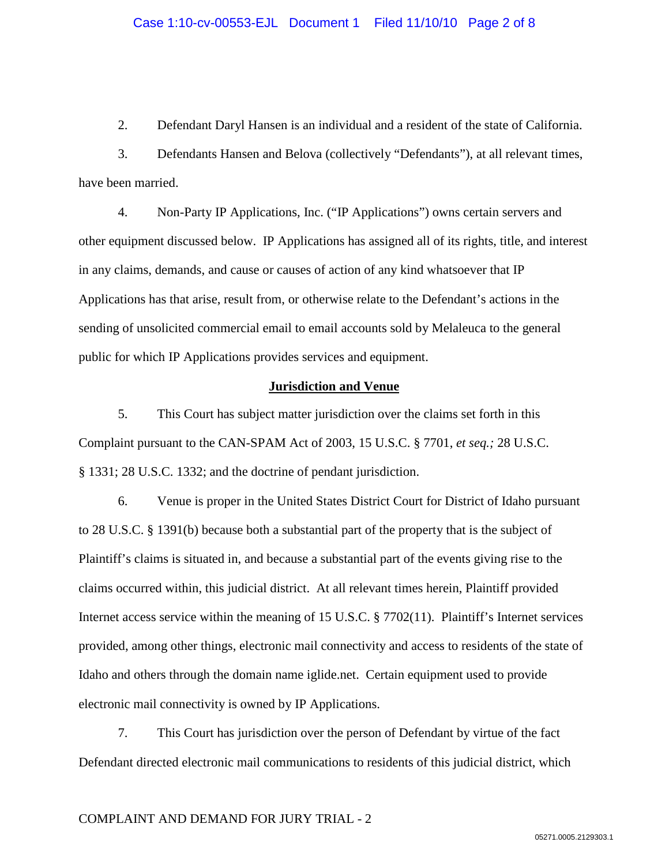2. Defendant Daryl Hansen is an individual and a resident of the state of California.

3. Defendants Hansen and Belova (collectively "Defendants"), at all relevant times, have been married.

4. Non-Party IP Applications, Inc. ("IP Applications") owns certain servers and other equipment discussed below. IP Applications has assigned all of its rights, title, and interest in any claims, demands, and cause or causes of action of any kind whatsoever that IP Applications has that arise, result from, or otherwise relate to the Defendant's actions in the sending of unsolicited commercial email to email accounts sold by Melaleuca to the general public for which IP Applications provides services and equipment.

### **Jurisdiction and Venue**

5. This Court has subject matter jurisdiction over the claims set forth in this Complaint pursuant to the CAN-SPAM Act of 2003, 15 U.S.C. § 7701, *et seq.;* 28 U.S.C. § 1331; 28 U.S.C. 1332; and the doctrine of pendant jurisdiction.

6. Venue is proper in the United States District Court for District of Idaho pursuant to 28 U.S.C. § 1391(b) because both a substantial part of the property that is the subject of Plaintiff's claims is situated in, and because a substantial part of the events giving rise to the claims occurred within, this judicial district. At all relevant times herein, Plaintiff provided Internet access service within the meaning of 15 U.S.C. § 7702(11). Plaintiff's Internet services provided, among other things, electronic mail connectivity and access to residents of the state of Idaho and others through the domain name iglide.net. Certain equipment used to provide electronic mail connectivity is owned by IP Applications.

7. This Court has jurisdiction over the person of Defendant by virtue of the fact Defendant directed electronic mail communications to residents of this judicial district, which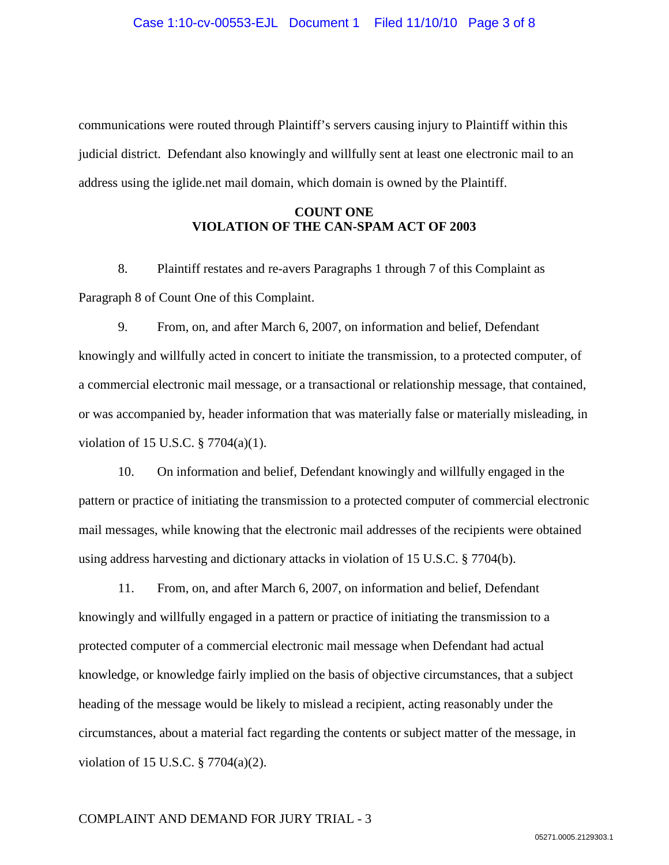communications were routed through Plaintiff's servers causing injury to Plaintiff within this judicial district. Defendant also knowingly and willfully sent at least one electronic mail to an address using the iglide.net mail domain, which domain is owned by the Plaintiff.

## **COUNT ONE VIOLATION OF THE CAN-SPAM ACT OF 2003**

8. Plaintiff restates and re-avers Paragraphs 1 through 7 of this Complaint as Paragraph 8 of Count One of this Complaint.

9. From, on, and after March 6, 2007, on information and belief, Defendant knowingly and willfully acted in concert to initiate the transmission, to a protected computer, of a commercial electronic mail message, or a transactional or relationship message, that contained, or was accompanied by, header information that was materially false or materially misleading, in violation of 15 U.S.C. § 7704(a)(1).

10. On information and belief, Defendant knowingly and willfully engaged in the pattern or practice of initiating the transmission to a protected computer of commercial electronic mail messages, while knowing that the electronic mail addresses of the recipients were obtained using address harvesting and dictionary attacks in violation of 15 U.S.C. § 7704(b).

11. From, on, and after March 6, 2007, on information and belief, Defendant knowingly and willfully engaged in a pattern or practice of initiating the transmission to a protected computer of a commercial electronic mail message when Defendant had actual knowledge, or knowledge fairly implied on the basis of objective circumstances, that a subject heading of the message would be likely to mislead a recipient, acting reasonably under the circumstances, about a material fact regarding the contents or subject matter of the message, in violation of 15 U.S.C. § 7704(a)(2).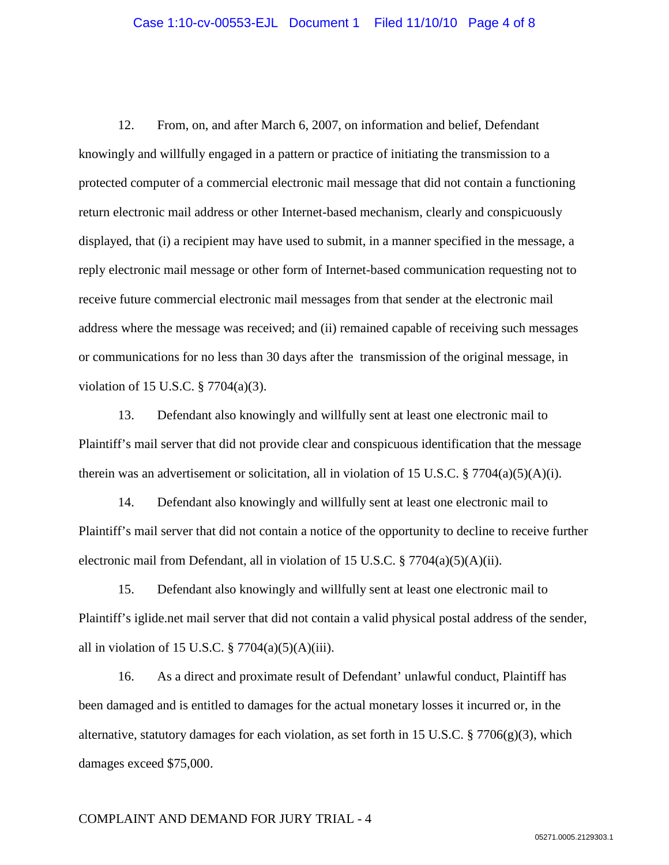12. From, on, and after March 6, 2007, on information and belief, Defendant knowingly and willfully engaged in a pattern or practice of initiating the transmission to a protected computer of a commercial electronic mail message that did not contain a functioning return electronic mail address or other Internet-based mechanism, clearly and conspicuously displayed, that (i) a recipient may have used to submit, in a manner specified in the message, a reply electronic mail message or other form of Internet-based communication requesting not to receive future commercial electronic mail messages from that sender at the electronic mail address where the message was received; and (ii) remained capable of receiving such messages or communications for no less than 30 days after the transmission of the original message, in violation of 15 U.S.C. § 7704(a)(3).

13. Defendant also knowingly and willfully sent at least one electronic mail to Plaintiff's mail server that did not provide clear and conspicuous identification that the message therein was an advertisement or solicitation, all in violation of 15 U.S.C. § 7704(a)(5)(A)(i).

14. Defendant also knowingly and willfully sent at least one electronic mail to Plaintiff's mail server that did not contain a notice of the opportunity to decline to receive further electronic mail from Defendant, all in violation of 15 U.S.C. § 7704(a)(5)(A)(ii).

15. Defendant also knowingly and willfully sent at least one electronic mail to Plaintiff's iglide.net mail server that did not contain a valid physical postal address of the sender, all in violation of 15 U.S.C.  $\S 7704(a)(5)(A)(iii)$ .

16. As a direct and proximate result of Defendant' unlawful conduct, Plaintiff has been damaged and is entitled to damages for the actual monetary losses it incurred or, in the alternative, statutory damages for each violation, as set forth in 15 U.S.C. § 7706(g)(3), which damages exceed \$75,000.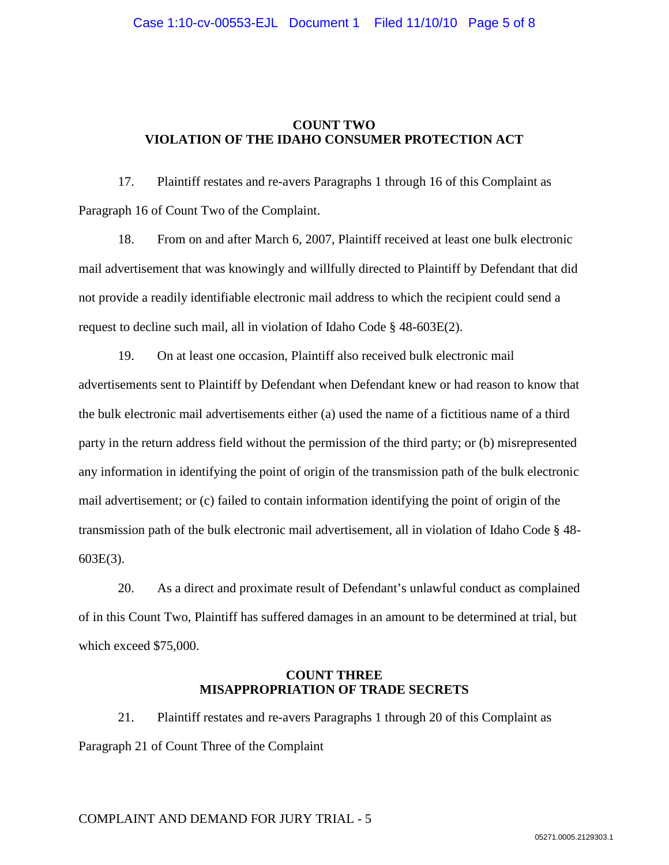## **COUNT TWO VIOLATION OF THE IDAHO CONSUMER PROTECTION ACT**

17. Plaintiff restates and re-avers Paragraphs 1 through 16 of this Complaint as Paragraph 16 of Count Two of the Complaint.

18. From on and after March 6, 2007, Plaintiff received at least one bulk electronic mail advertisement that was knowingly and willfully directed to Plaintiff by Defendant that did not provide a readily identifiable electronic mail address to which the recipient could send a request to decline such mail, all in violation of Idaho Code § 48-603E(2).

19. On at least one occasion, Plaintiff also received bulk electronic mail advertisements sent to Plaintiff by Defendant when Defendant knew or had reason to know that the bulk electronic mail advertisements either (a) used the name of a fictitious name of a third party in the return address field without the permission of the third party; or (b) misrepresented any information in identifying the point of origin of the transmission path of the bulk electronic mail advertisement; or (c) failed to contain information identifying the point of origin of the transmission path of the bulk electronic mail advertisement, all in violation of Idaho Code § 48- 603E(3).

20. As a direct and proximate result of Defendant's unlawful conduct as complained of in this Count Two, Plaintiff has suffered damages in an amount to be determined at trial, but which exceed \$75,000.

### **COUNT THREE MISAPPROPRIATION OF TRADE SECRETS**

21. Plaintiff restates and re-avers Paragraphs 1 through 20 of this Complaint as Paragraph 21 of Count Three of the Complaint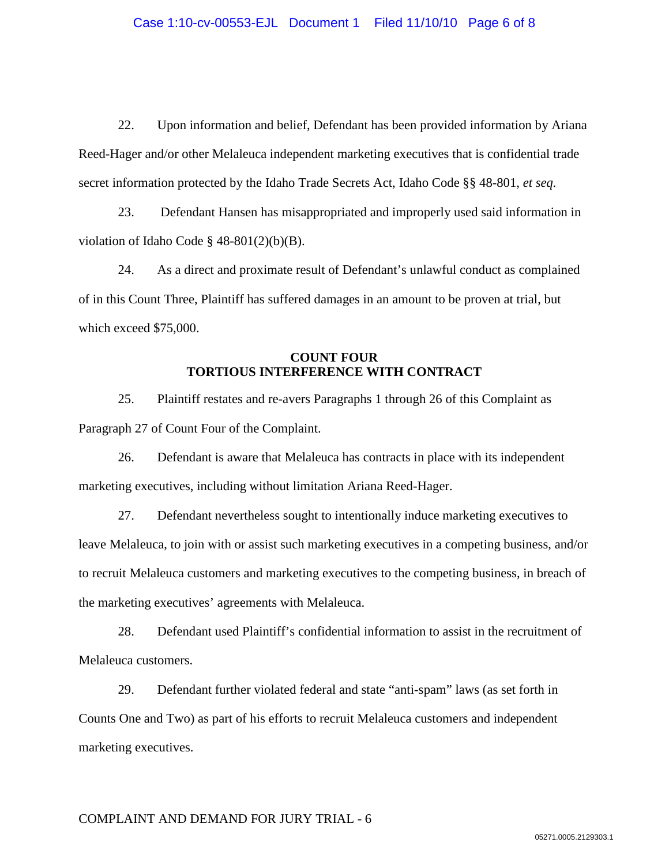22. Upon information and belief, Defendant has been provided information by Ariana Reed-Hager and/or other Melaleuca independent marketing executives that is confidential trade secret information protected by the Idaho Trade Secrets Act, Idaho Code §§ 48-801, *et seq.*

23. Defendant Hansen has misappropriated and improperly used said information in violation of Idaho Code § 48-801(2)(b)(B).

24. As a direct and proximate result of Defendant's unlawful conduct as complained of in this Count Three, Plaintiff has suffered damages in an amount to be proven at trial, but which exceed \$75,000.

### **COUNT FOUR TORTIOUS INTERFERENCE WITH CONTRACT**

25. Plaintiff restates and re-avers Paragraphs 1 through 26 of this Complaint as Paragraph 27 of Count Four of the Complaint.

26. Defendant is aware that Melaleuca has contracts in place with its independent marketing executives, including without limitation Ariana Reed-Hager.

27. Defendant nevertheless sought to intentionally induce marketing executives to leave Melaleuca, to join with or assist such marketing executives in a competing business, and/or to recruit Melaleuca customers and marketing executives to the competing business, in breach of the marketing executives' agreements with Melaleuca.

28. Defendant used Plaintiff's confidential information to assist in the recruitment of Melaleuca customers.

29. Defendant further violated federal and state "anti-spam" laws (as set forth in Counts One and Two) as part of his efforts to recruit Melaleuca customers and independent marketing executives.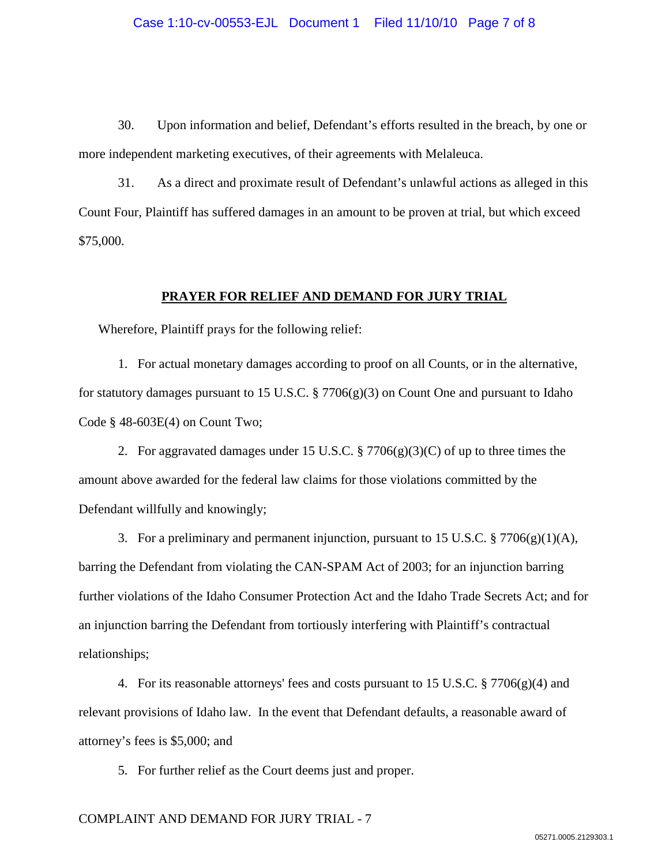30. Upon information and belief, Defendant's efforts resulted in the breach, by one or more independent marketing executives, of their agreements with Melaleuca.

31. As a direct and proximate result of Defendant's unlawful actions as alleged in this Count Four, Plaintiff has suffered damages in an amount to be proven at trial, but which exceed \$75,000.

#### **PRAYER FOR RELIEF AND DEMAND FOR JURY TRIAL**

Wherefore, Plaintiff prays for the following relief:

1. For actual monetary damages according to proof on all Counts, or in the alternative, for statutory damages pursuant to 15 U.S.C. § 7706 $(g)(3)$  on Count One and pursuant to Idaho Code § 48-603E(4) on Count Two;

2. For aggravated damages under 15 U.S.C. § 7706(g)(3)(C) of up to three times the amount above awarded for the federal law claims for those violations committed by the Defendant willfully and knowingly;

3. For a preliminary and permanent injunction, pursuant to 15 U.S.C.  $\S 7706(g)(1)(A)$ , barring the Defendant from violating the CAN-SPAM Act of 2003; for an injunction barring further violations of the Idaho Consumer Protection Act and the Idaho Trade Secrets Act; and for an injunction barring the Defendant from tortiously interfering with Plaintiff's contractual relationships;

4. For its reasonable attorneys' fees and costs pursuant to 15 U.S.C. § 7706(g)(4) and relevant provisions of Idaho law. In the event that Defendant defaults, a reasonable award of attorney's fees is \$5,000; and

5. For further relief as the Court deems just and proper.